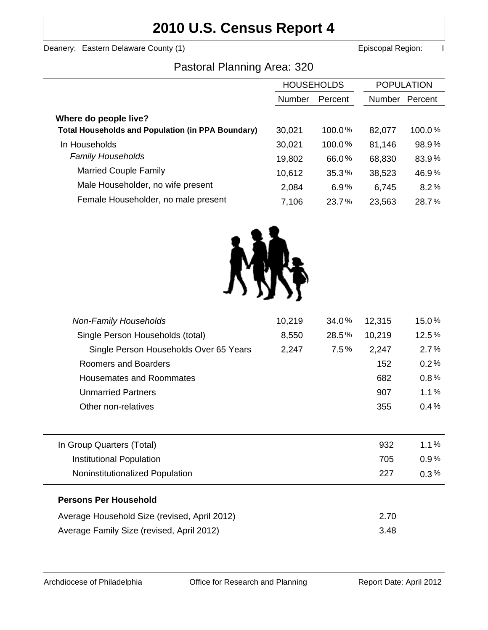## **2010 U.S. Census Report 4**

Deanery: Eastern Delaware County (1) **Example 2 and County County County County County County County County County County County County County County County County County County County County County County County County Co** 

### Pastoral Planning Area: 320

|                                                          | <b>HOUSEHOLDS</b> |         | <b>POPULATION</b> |         |
|----------------------------------------------------------|-------------------|---------|-------------------|---------|
|                                                          | <b>Number</b>     | Percent | Number            | Percent |
| Where do people live?                                    |                   |         |                   |         |
| <b>Total Households and Population (in PPA Boundary)</b> | 30,021            | 100.0%  | 82,077            | 100.0%  |
| In Households                                            | 30,021            | 100.0%  | 81,146            | 98.9%   |
| <b>Family Households</b>                                 | 19,802            | 66.0%   | 68,830            | 83.9%   |
| <b>Married Couple Family</b>                             | 10,612            | 35.3%   | 38,523            | 46.9%   |
| Male Householder, no wife present                        | 2,084             | 6.9%    | 6,745             | 8.2%    |
| Female Householder, no male present                      | 7,106             | 23.7%   | 23,563            | 28.7%   |



| <b>Non-Family Households</b>                 | 10,219 | 34.0%   | 12,315 | 15.0%   |
|----------------------------------------------|--------|---------|--------|---------|
| Single Person Households (total)             | 8,550  | 28.5%   | 10,219 | 12.5%   |
| Single Person Households Over 65 Years       | 2,247  | $7.5\%$ | 2,247  | 2.7%    |
| Roomers and Boarders                         |        |         | 152    | 0.2%    |
| <b>Housemates and Roommates</b>              |        |         | 682    | 0.8%    |
| <b>Unmarried Partners</b>                    |        |         | 907    | 1.1%    |
| Other non-relatives                          |        |         | 355    | 0.4%    |
|                                              |        |         |        |         |
| In Group Quarters (Total)                    |        |         | 932    | $1.1\%$ |
| Institutional Population                     |        |         | 705    | $0.9\%$ |
| Noninstitutionalized Population              |        |         | 227    | $0.3\%$ |
| <b>Persons Per Household</b>                 |        |         |        |         |
| Average Household Size (revised, April 2012) |        |         | 2.70   |         |
| Average Family Size (revised, April 2012)    |        |         | 3.48   |         |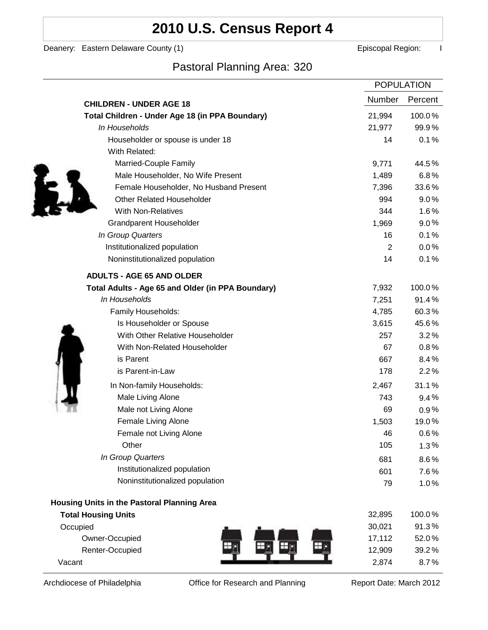# **2010 U.S. Census Report 4**

Deanery: Eastern Delaware County (1) **Example 2** Episcopal Region: I

## Pastoral Planning Area: 320

|                                                   | <b>POPULATION</b> |         |
|---------------------------------------------------|-------------------|---------|
| <b>CHILDREN - UNDER AGE 18</b>                    | Number            | Percent |
| Total Children - Under Age 18 (in PPA Boundary)   | 21,994            | 100.0%  |
| In Households                                     | 21,977            | 99.9%   |
| Householder or spouse is under 18                 | 14                | 0.1%    |
| With Related:                                     |                   |         |
| Married-Couple Family                             | 9,771             | 44.5%   |
| Male Householder, No Wife Present                 | 1,489             | 6.8%    |
| Female Householder, No Husband Present            | 7,396             | 33.6%   |
| <b>Other Related Householder</b>                  | 994               | 9.0%    |
| <b>With Non-Relatives</b>                         | 344               | 1.6%    |
| Grandparent Householder                           | 1,969             | $9.0\%$ |
| In Group Quarters                                 | 16                | 0.1%    |
| Institutionalized population                      | 2                 | 0.0%    |
| Noninstitutionalized population                   | 14                | 0.1%    |
| <b>ADULTS - AGE 65 AND OLDER</b>                  |                   |         |
| Total Adults - Age 65 and Older (in PPA Boundary) | 7,932             | 100.0%  |
| In Households                                     | 7,251             | 91.4%   |
| Family Households:                                | 4,785             | 60.3%   |
| Is Householder or Spouse                          | 3,615             | 45.6%   |
| With Other Relative Householder                   | 257               | 3.2%    |
| With Non-Related Householder                      | 67                | 0.8%    |
| is Parent                                         | 667               | 8.4%    |
| is Parent-in-Law                                  | 178               | 2.2%    |
| In Non-family Households:                         | 2,467             | 31.1%   |
| Male Living Alone                                 | 743               | 9.4%    |
| Male not Living Alone                             | 69                | $0.9\%$ |
| Female Living Alone                               | 1,503             | 19.0%   |
| Female not Living Alone                           | 46                | 0.6%    |
| Other                                             | 105               | 1.3%    |
| In Group Quarters                                 | 681               | 8.6%    |
| Institutionalized population                      | 601               | 7.6%    |
| Noninstitutionalized population                   | 79                | 1.0%    |
| Housing Units in the Pastoral Planning Area       |                   |         |
| <b>Total Housing Units</b>                        | 32,895            | 100.0%  |
| Occupied                                          | 30,021            | 91.3%   |
| Owner-Occupied                                    | 17,112            | 52.0%   |
| Renter-Occupied                                   | 12,909            | 39.2%   |
| Vacant                                            | 2,874             | 8.7%    |

Archdiocese of Philadelphia **Office for Research and Planning** Report Date: March 2012